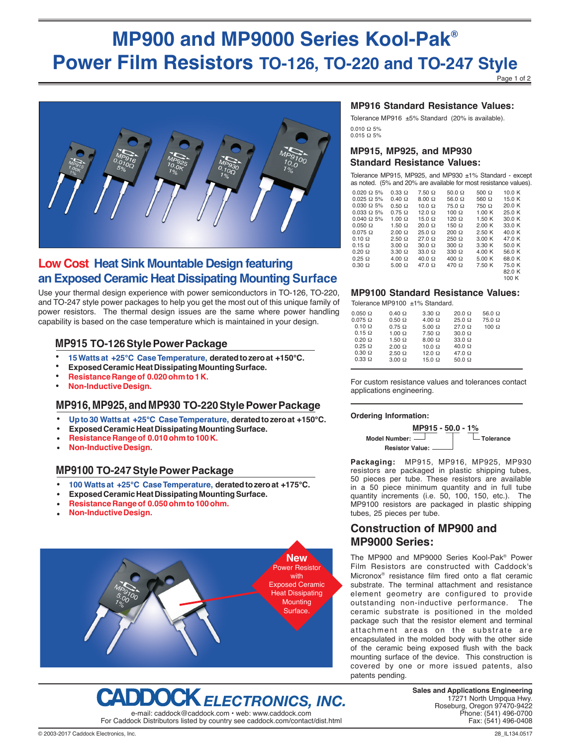# **MP900 and MP9000 Series Kool-Pak® Power Film Resistors TO-126, TO-220 and TO-247 Style**

Page 1 of 2



## **Low Cost Heat Sink Mountable Design featuring an Exposed Ceramic Heat Dissipating Mounting Surface**

Use your thermal design experience with power semiconductors in TO-126, TO-220, and TO-247 style power packages to help you get the most out of this unique family of power resistors. The thermal design issues are the same where power handling capability is based on the case temperature which is maintained in your design.

### **MP915 TO-126 Style Power Package**

- **15 Watts at +25°C Case Temperature, derated to zero at +150°C.** •
- **Exposed Ceramic Heat Dissipating Mounting Surface.** •
- **Resistance Range of 0.020 ohm to 1 K.** •
- **Non-Inductive Design.** •

### **MP916, MP925, and MP930 TO-220 Style Power Package**

- **Up to 30 Watts at +25°C Case Temperature, derated to zero at +150°C.** •
- **Exposed Ceramic Heat Dissipating Mounting Surface.** •
- **Resistance Range of 0.010 ohm to 100 K.** •
- **Non-Inductive Design.** •

### **MP9100 TO-247 Style Power Package**

- **100 Watts at +25°C Case Temperature, derated to zero at +175°C.** •
- **Exposed Ceramic Heat Dissipating Mounting Surface.** •
- **Resistance Range of 0.050 ohm to 100 ohm.** •
- **Non-Inductive Design.** •





#### **MP916 Standard Resistance Values:**

0.010 Ω 5% 0.015 Ω 5% Tolerance MP916 ±5% Standard (20% is available).

#### **MP915, MP925, and MP930 Standard Resistance Values:**

Tolerance MP915, MP925, and MP930 ±1% Standard - except as noted. (5% and 20% are available for most resistance values).

| $0.020 \Omega$ 5% | $0.33 \Omega$ | $7.50 \Omega$ | 50.0 $\Omega$ | 500 $\Omega$ | 10.0 K |
|-------------------|---------------|---------------|---------------|--------------|--------|
| $0.025 \Omega$ 5% | $0.40 \Omega$ | $8.00 \Omega$ | 56.0 $\Omega$ | 560 $\Omega$ | 15.0 K |
| $0.030 \Omega 5%$ | $0.50 \Omega$ | $10.0 \Omega$ | $75.0 \Omega$ | $750 \Omega$ | 20.0 K |
| $0.033 \Omega$ 5% | $0.75 \Omega$ | $12.0 \Omega$ | $100 \Omega$  | 1.00K        | 25.0 K |
| $0.040 \Omega$ 5% | $1.00 \Omega$ | $15.0 \Omega$ | $120 \Omega$  | 1.50K        | 30.0 K |
| $0.050 \Omega$    | $1.50 \Omega$ | $20.0 \Omega$ | $150 \Omega$  | 2.00K        | 33.0 K |
| $0.075 \Omega$    | $2.00 \Omega$ | $25.0 \Omega$ | $200 \Omega$  | 2.50K        | 40.0 K |
| $0.10 \Omega$     | $2.50 \Omega$ | $27.0 \Omega$ | $250 \Omega$  | 3.00K        | 47.0 K |
| $0.15 \Omega$     | $3.00 \Omega$ | $30.0 \Omega$ | $300 \Omega$  | 3.30K        | 50.0 K |
| $0.20 \Omega$     | $3.30 \Omega$ | $33.0 \Omega$ | $330 \Omega$  | 4.00K        | 56.0 K |
| $0.25 \Omega$     | $4.00 \Omega$ | $40.0 \Omega$ | $400 \Omega$  | 5.00K        | 68.0 K |
| $0.30 \Omega$     | $5.00 \Omega$ | $47.0\Omega$  | $470 \Omega$  | 7.50 K       | 75.0 K |
|                   |               |               |               |              | 82.0 K |
|                   |               |               |               |              | 100 K  |

#### **MP9100 Standard Resistance Values:**

Tolerance MP9100 ±1% Standard.

| $0.050 \Omega$ | $0.40 \Omega$ | $3.30 \Omega$ | $20.0 \Omega$ | 56.0 $\Omega$ |
|----------------|---------------|---------------|---------------|---------------|
| $0.075 \Omega$ | $0.50 \Omega$ | $4.00 \Omega$ | $25.0 \Omega$ | $75.0 \Omega$ |
| $0.10 \Omega$  | $0.75 \Omega$ | $5.00 \Omega$ | $27.0 \Omega$ | $100 \Omega$  |
| $0.15 \Omega$  | $1.00 \Omega$ | $7.50 \Omega$ | $30.0 \Omega$ |               |
| $0.20 \Omega$  | $1.50 \Omega$ | $8.00 \Omega$ | $33.0 \Omega$ |               |
| $0.25 \Omega$  | $2.00 \Omega$ | $10.0 \Omega$ | $40.0 \Omega$ |               |
| $0.30 \Omega$  | $2.50 \Omega$ | $12.0 \Omega$ | $47.0\Omega$  |               |
| $0.33 \Omega$  | $3.00 \Omega$ | $15.0 \Omega$ | $50.0 \Omega$ |               |
|                |               |               |               |               |

For custom resistance values and tolerances contact applications engineering.

#### **Ordering Information:**



**Packaging:** MP915, MP916, MP925, MP930 resistors are packaged in plastic shipping tubes, 50 pieces per tube. These resistors are available in a 50 piece minimum quantity and in full tube quantity increments (i.e. 50, 100, 150, etc.). The MP9100 resistors are packaged in plastic shipping tubes, 25 pieces per tube.

### **Construction of MP900 and MP9000 Series:**

The MP900 and MP9000 Series Kool-Pak® Power Film Resistors are constructed with Caddock's Micronox® resistance film fired onto a flat ceramic substrate. The terminal attachment and resistance element geometry are configured to provide outstanding non-inductive performance. The ceramic substrate is positioned in the molded package such that the resistor element and terminal attachment areas on the substrate are encapsulated in the molded body with the other side of the ceramic being exposed flush with the back mounting surface of the device. This construction is covered by one or more issued patents, also patents pending.

> **Sales and Applications Engineering** 17271 North Umpqua Hwy. Roseburg, Oregon 97470-9422 Phone: (541) 496-0700 Fax: (541) 496-0408